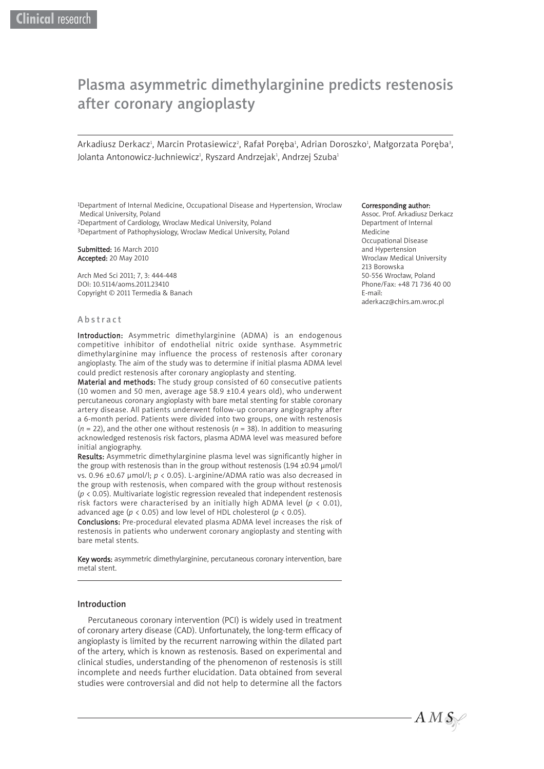# Plasma asymmetric dimethylarginine predicts restenosis after coronary angioplasty

Arkadiusz Derkacz<sup>ı</sup>, Marcin Protasiewicz<sup>2</sup>, Rafał Poręba<sup>1</sup>, Adrian Doroszko<sup>ı</sup>, Małgorzata Poręba<sup>3</sup>, Jolanta Antonowicz-Juchniewicz<del>'</del>, Ryszard Andrzejak<del>'</del>, Andrzej Szuba<del>'</del>

1Department of Internal Medicine, Occupational Disease and Hypertension, Wroclaw Medical University, Poland 2Department of Cardiology, Wroclaw Medical University, Poland

3Department of Pathophysiology, Wroclaw Medical University, Poland

Submitted: 16 March 2010 Accepted: 20 May 2010

Arch Med Sci 2011; 7, 3: 444-448 DOI: 10.5114/aoms.2011.23410 Copyright © 2011 Termedia & Banach

## Abstract

Introduction: Asymmetric dimethylarginine (ADMA) is an endogenous competitive inhibitor of endothelial nitric oxide synthase. Asymmetric dimethylarginine may influence the process of restenosis after coronary angioplasty. The aim of the study was to determine if initial plasma ADMA level could predict restenosis after coronary angioplasty and stenting.

Material and methods: The study group consisted of 60 consecutive patients (10 women and 50 men, average age 58.9  $\pm$ 10.4 years old), who underwent percutaneous coronary angioplasty with bare metal stenting for stable coronary artery disease. All patients underwent follow-up coronary angiography after a 6-month period. Patients were divided into two groups, one with restenosis  $(n = 22)$ , and the other one without restenosis  $(n = 38)$ . In addition to measuring acknowledged restenosis risk factors, plasma ADMA level was measured before initial angiography.

Results: Asymmetric dimethylarginine plasma level was significantly higher in the group with restenosis than in the group without restenosis (1.94 ±0.94 μmol/l vs. 0.96 ±0.67 μmol/l; *p* < 0.05). L-arginine/ADMA ratio was also decreased in the group with restenosis, when compared with the group without restenosis (*p* < 0.05). Multivariate logistic regression revealed that independent restenosis risk factors were characterised by an initially high ADMA level ( $p < 0.01$ ), advanced age (*p* < 0.05) and low level of HDL cholesterol (*p* < 0.05).

Conclusions: Pre-procedural elevated plasma ADMA level increases the risk of restenosis in patients who underwent coronary angioplasty and stenting with bare metal stents.

Key words: asymmetric dimethylarginine, percutaneous coronary intervention, bare metal stent.

## Introduction

Percutaneous coronary intervention (PCI) is widely used in treatment of coronary artery disease (CAD). Unfortunately, the long-term efficacy of angioplasty is limited by the recurrent narrowing within the dilated part of the artery, which is known as restenosis. Based on experimental and clinical studies, understanding of the phenomenon of restenosis is still incomplete and needs further elucidation. Data obtained from several studies were controversial and did not help to determine all the factors

## Corresponding author:

Assoc. Prof. Arkadiusz Derkacz Department of Internal Medicine Occupational Disease and Hypertension Wroclaw Medical University 213 Borowska 50-556 Wrocław, Poland Phone/Fax: +48 71 736 40 00 E-mail: aderkacz@chirs.am.wroc.pl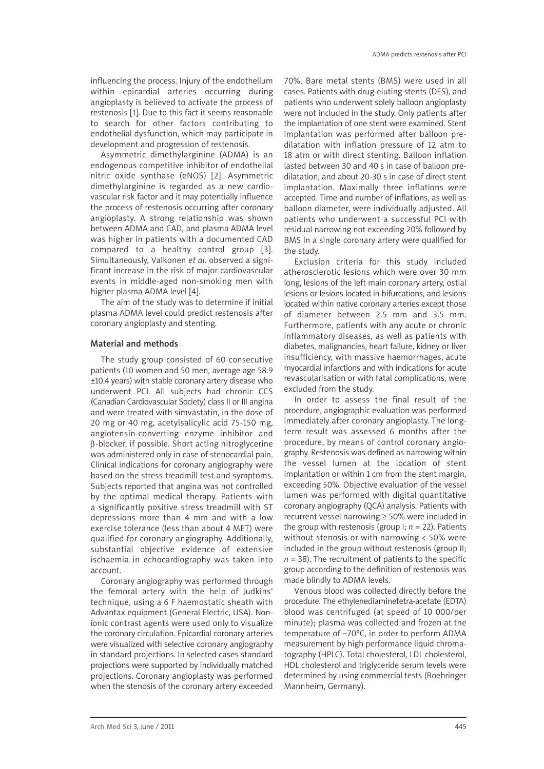influencing the process. Injury of the endothelium within epicardial arteries occurring during angioplasty is believed to activate the process of restenosis [1]. Due to this fact it seems reasonable to search for other factors contributing to endothelial dysfunction, which may participate in development and progression of restenosis.

Asymmetric dimethylarginine (ADMA) is an endogenous competitive inhibitor of endothelial nitric oxide synthase (eNOS) [2]. Asymmetric dimethylarginine is regarded as a new cardiovascular risk factor and it may potentially influence the process of restenosis occurring after coronary angioplasty. A strong relationship was shown between ADMA and CAD, and plasma ADMA level was higher in patients with a documented CAD compared to a healthy control group [3]. Simultaneously, Valkonen *et al*. observed a signi ficant increase in the risk of major cardiovascular events in middle-aged non-smoking men with higher plasma ADMA level [4].

The aim of the study was to determine if initial plasma ADMA level could predict restenosis after coronary angioplasty and stenting.

## Material and methods

The study group consisted of 60 consecutive patients (10 women and 50 men, average age 58.9 ±10.4 years) with stable coronary artery disease who underwent PCI. All subjects had chronic CCS (Canadian Cardiovascular Society) class II or III angina and were treated with simvastatin, in the dose of 20 mg or 40 mg, acetylsalicylic acid 75-150 mg, angiotensin-converting enzyme inhibitor and β-blocker, if possible. Short acting nitroglycerine was administered only in case of stenocardial pain. Clinical indications for coronary angiography were based on the stress treadmill test and symptoms. Subjects reported that angina was not controlled by the optimal medical therapy. Patients with a significantly positive stress treadmill with ST depressions more than 4 mm and with a low exercise tolerance (less than about 4 MET) were qualified for coronary angiography. Additionally, substantial objective evidence of extensive ischaemia in echocardiography was taken into account.

Coronary angiography was performed through the femoral artery with the help of Judkins' technique, using a 6 F haemostatic sheath with Advantax equipment (General Electric, USA). Nonionic contrast agents were used only to visualize the coronary circulation. Epicardial coronary arteries were visualized with selective coronary angiography in standard projections. In selected cases standard projections were supported by individually matched projections. Coronary angioplasty was performed when the stenosis of the coronary artery exceeded

70%. Bare metal stents (BMS) were used in all cases. Patients with drug-eluting stents (DES), and patients who underwent solely balloon angioplasty were not included in the study. Only patients after the implantation of one stent were examined. Stent implantation was performed after balloon predilatation with inflation pressure of 12 atm to 18 atm or with direct stenting. Balloon inflation lasted between 30 and 40 s in case of balloon predilatation, and about 20-30 s in case of direct stent implantation. Maximally three inflations were accepted. Time and number of inflations, as well as balloon diameter, were individually adjusted. All patients who underwent a successful PCI with residual narrowing not exceeding 20% followed by BMS in a single coronary artery were qualified for the study.

Exclusion criteria for this study included atherosclerotic lesions which were over 30 mm long, lesions of the left main coronary artery, ostial lesions or lesions located in bifurcations, and lesions located within native coronary arteries except those of diameter between 2.5 mm and 3.5 mm. Furthermore, patients with any acute or chronic inflammatory diseases, as well as patients with diabetes, malignancies, heart failure, kidney or liver insufficiency, with massive haemorrhages, acute myocardial infarctions and with indications for acute revascularisation or with fatal complications, were excluded from the study.

In order to assess the final result of the procedure, angiographic evaluation was performed immediately after coronary angioplasty. The longterm result was assessed 6 months after the procedure, by means of control coronary angiography. Restenosis was defined as narrowing within the vessel lumen at the location of stent implantation or within 1 cm from the stent margin, exceeding 50%. Objective evaluation of the vessel lumen was performed with digital quantitative coronary angiography (QCA) analysis. Patients with recurrent vessel narrowing ≥ 50% were included in the group with restenosis (group  $\vert$ ;  $n = 22$ ). Patients without stenosis or with narrowing < 50% were included in the group without restenosis (group II;  $n = 38$ ). The recruitment of patients to the specific group according to the definition of restenosis was made blindly to ADMA levels.

Venous blood was collected directly before the procedure. The ethylenediaminetetra-acetate (EDTA) blood was centrifuged (at speed of 10 000/per minute); plasma was collected and frozen at the temperature of –70°C, in order to perform ADMA measurement by high performance liquid chroma tography (HPLC). Total cholesterol, LDL cholesterol, HDL cholesterol and triglyceride serum levels were determined by using commercial tests (Boehringer Mannheim, Germany).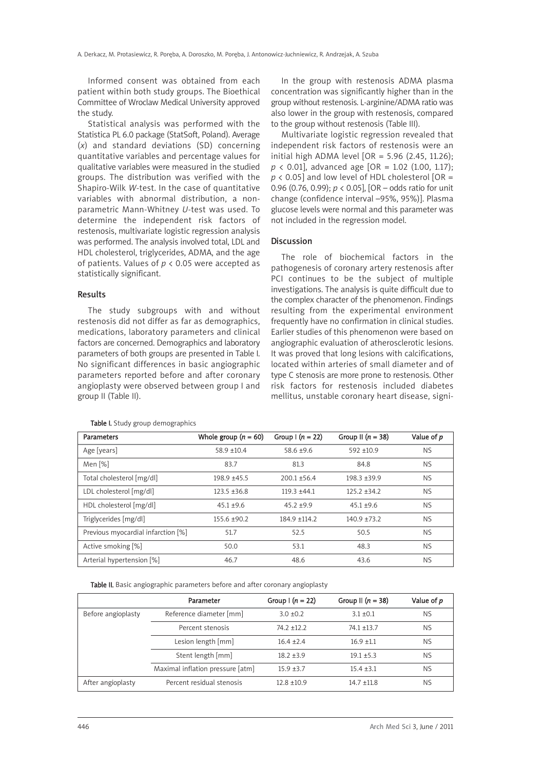Informed consent was obtained from each patient within both study groups. The Bioethical Committee of Wroclaw Medical University approved the study.

Statistical analysis was performed with the Statistica PL 6.0 package (StatSoft, Poland). Average (*x*) and standard deviations (SD) concerning quantitative variables and percentage values for qualitative variables were measured in the studied groups. The distribution was verified with the Shapiro-Wilk *W*-test. In the case of quantitative variables with abnormal distribution, a nonparametric Mann-Whitney *U*-test was used. To determine the independent risk factors of restenosis, multivariate logistic regression analysis was performed. The analysis involved total, LDL and HDL cholesterol, triglycerides, ADMA, and the age of patients. Values of *p* < 0.05 were accepted as statistically significant.

## Results

The study subgroups with and without restenosis did not differ as far as demographics, medications, laboratory parameters and clinical factors are concerned. Demographics and laboratory parameters of both groups are presented in Table I. No significant differences in basic angiographic parameters reported before and after coronary angioplasty were observed between group I and group II (Table II).

In the group with restenosis ADMA plasma concentration was significantly higher than in the group without restenosis. L-arginine/ADMA ratio was also lower in the group with restenosis, compared to the group without restenosis (Table III).

Multivariate logistic regression revealed that independent risk factors of restenosis were an initial high ADMA level  $[OR = 5.96 (2.45, 11.26);$ *p* < 0.01], advanced age [OR = 1.02 (1.00, 1.17); *p* < 0.05] and low level of HDL cholesterol [OR = 0.96 (0.76, 0.99); *p* < 0.05], [OR – odds ratio for unit change (confidence interval –95%, 95%)]. Plasma glucose levels were normal and this parameter was not included in the regression model.

### **Discussion**

The role of biochemical factors in the pathogenesis of coronary artery restenosis after PCI continues to be the subject of multiple investigations. The analysis is quite difficult due to the complex character of the phenomenon. Findings resulting from the experimental environment frequently have no confirmation in clinical studies. Earlier studies of this phenomenon were based on angiographic evaluation of atherosclerotic lesions. It was proved that long lesions with calcifications, located within arteries of small diameter and of type C stenosis are more prone to restenosis. Other risk factors for restenosis included diabetes mellitus, unstable coronary heart disease, signi-

| Parameters                         | Whole group $(n = 60)$ | Group $(n = 22)$ | Group II $(n = 38)$ | Value of p |
|------------------------------------|------------------------|------------------|---------------------|------------|
| Age [years]                        | $58.9 \pm 10.4$        | $58.6 \pm 9.6$   | $592 + 10.9$        | <b>NS</b>  |
| Men [%]                            | 83.7                   | 81.3             | 84.8                | <b>NS</b>  |
| Total cholesterol [mg/dl]          | $198.9 + 45.5$         | $200.1 + 56.4$   | $198.3 + 39.9$      | <b>NS</b>  |
| LDL cholesterol [mg/dl]            | $123.5 + 36.8$         | $119.3 +44.1$    | $125.2 + 34.2$      | <b>NS</b>  |
| HDL cholesterol [mg/dl]            | $45.1 + 9.6$           | $45.2 + 9.9$     | $45.1 + 9.6$        | <b>NS</b>  |
| Triglycerides [mg/dl]              | $155.6 + 90.2$         | $184.9 + 114.2$  | $140.9 + 73.2$      | <b>NS</b>  |
| Previous myocardial infarction [%] | 51.7                   | 52.5             | 50.5                | <b>NS</b>  |
| Active smoking [%]                 | 50.0                   | 53.1             | 48.3                | <b>NS</b>  |
| Arterial hypertension [%]          | 46.7                   | 48.6             | 43.6                | <b>NS</b>  |

## Table I. Study group demographics

Table II. Basic angiographic parameters before and after coronary angioplasty

|                    | Parameter                        | Group $(n = 22)$ | Group II $(n = 38)$ | Value of p |
|--------------------|----------------------------------|------------------|---------------------|------------|
| Before angioplasty | Reference diameter [mm]          | $3.0 + 0.2$      | $3.1 + 0.1$         | <b>NS</b>  |
|                    | Percent stenosis                 | $74.2 + 12.2$    | $74.1 + 13.7$       | <b>NS</b>  |
|                    | Lesion length [mm]               | $16.4 \pm 2.4$   | $16.9 + 1.1$        | <b>NS</b>  |
|                    | Stent length [mm]                | $18.2 + 3.9$     | $19.1 + 5.3$        | <b>NS</b>  |
|                    | Maximal inflation pressure [atm] | $15.9 + 3.7$     | $15.4 + 3.1$        | <b>NS</b>  |
| After angioplasty  | Percent residual stenosis        | $12.8 + 10.9$    | $14.7 + 11.8$       | <b>NS</b>  |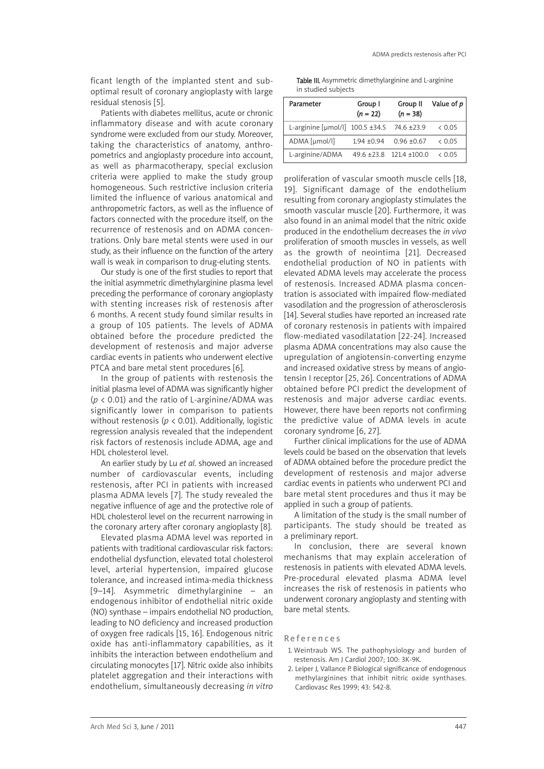ficant length of the implanted stent and suboptimal result of coronary angioplasty with large residual stenosis [5].

Patients with diabetes mellitus, acute or chronic inflammatory disease and with acute coronary syndrome were excluded from our study. Moreover, taking the characteristics of anatomy, anthropometrics and angioplasty procedure into account, as well as pharmacotherapy, special exclusion criteria were applied to make the study group homogeneous. Such restrictive inclusion criteria limited the influence of various anatomical and anthropometric factors, as well as the influence of factors connected with the procedure itself, on the recurrence of restenosis and on ADMA concentrations. Only bare metal stents were used in our study, as their influence on the function of the artery wall is weak in comparison to drug-eluting stents.

Our study is one of the first studies to report that the initial asymmetric dimethylarginine plasma level preceding the performance of coronary angioplasty with stenting increases risk of restenosis after 6 months. A recent study found similar results in a group of 105 patients. The levels of ADMA obtained before the procedure predicted the development of restenosis and major adverse cardiac events in patients who underwent elective PTCA and bare metal stent procedures [6].

In the group of patients with restenosis the initial plasma level of ADMA was significantly higher (*p* < 0.01) and the ratio of L-arginine/ADMA was significantly lower in comparison to patients without restenosis (*p* < 0.01). Additionally, logistic regression analysis revealed that the independent risk factors of restenosis include ADMA, age and HDL cholesterol level.

An earlier study by Lu *et al*. showed an increased number of cardiovascular events, including restenosis, after PCI in patients with increased plasma ADMA levels [7]. The study revealed the negative influence of age and the protective role of HDL cholesterol level on the recurrent narrowing in the coronary artery after coronary angioplasty [8].

Elevated plasma ADMA level was reported in patients with traditional cardiovascular risk factors: endothelial dysfunction, elevated total cholesterol level, arterial hypertension, impaired glucose tolerance, and increased intima-media thickness [9–14]. Asymmetric dimethylarginine – an endogenous inhibitor of endothelial nitric oxide (NO) synthase – impairs endothelial NO production, leading to NO deficiency and increased production of oxygen free radicals [15, 16]. Endogenous nitric oxide has anti-inflammatory capabilities, as it inhibits the interaction between endothelium and circulating monocytes [17]. Nitric oxide also inhibits platelet aggregation and their interactions with endothelium, simultaneously decreasing *in vitro*

Table III. Asymmetric dimethylarginine and L-arginine in studied subjects

| Parameter                                            | Group I<br>$(n = 22)$ | Group II<br>$(n = 38)$          | Value of p |
|------------------------------------------------------|-----------------------|---------------------------------|------------|
| L-arginine [µmol/l] $100.5 \pm 34.5$ 74.6 $\pm 23.9$ |                       |                                 | & 0.05     |
| ADMA [µmol/l]                                        | $1.94 + 0.94$         | $0.96 + 0.67$                   | & 0.05     |
| L-arginine/ADMA                                      |                       | $49.6 + 23.8$ 121.4 $\pm 100.0$ | & 0.05     |

proliferation of vascular smooth muscle cells [18, 19]. Significant damage of the endothelium resulting from coronary angioplasty stimulates the smooth vascular muscle [20]. Furthermore, it was also found in an animal model that the nitric oxide produced in the endothelium decreases the *in vivo* proliferation of smooth muscles in vessels, as well as the growth of neointima [21]. Decreased endothelial production of NO in patients with elevated ADMA levels may accelerate the process of restenosis. Increased ADMA plasma concentration is associated with impaired flow-mediated vasodilation and the progression of atherosclerosis [14]. Several studies have reported an increased rate of coronary restenosis in patients with impaired flow-mediated vasodilatation [22-24]. Increased plasma ADMA concentrations may also cause the upregulation of angiotensin-converting enzyme and increased oxidative stress by means of angiotensin I receptor [25, 26]. Concentrations of ADMA obtained before PCI predict the development of restenosis and major adverse cardiac events. However, there have been reports not confirming the predictive value of ADMA levels in acute coronary syndrome [6, 27].

Further clinical implications for the use of ADMA levels could be based on the observation that levels of ADMA obtained before the procedure predict the development of restenosis and major adverse cardiac events in patients who underwent PCI and bare metal stent procedures and thus it may be applied in such a group of patients.

A limitation of the study is the small number of participants. The study should be treated as a preliminary report.

In conclusion, there are several known mechanisms that may explain acceleration of restenosis in patients with elevated ADMA levels. Pre-procedural elevated plasma ADMA level increases the risk of restenosis in patients who underwent coronary angioplasty and stenting with bare metal stents.

#### References

- 1. Weintraub WS. The pathophysiology and burden of restenosis. Am J Cardiol 2007; 100: 3K-9K.
- 2. Leiper J, Vallance P. Biological significance of endogenous methylarginines that inhibit nitric oxide synthases. Cardiovasc Res 1999; 43: 542-8.